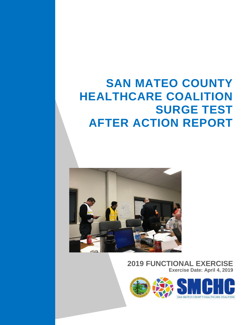# **SAN MATEO COUNTY HEALTHCARE COALITION SURGE TEST AFTER ACTION REPORT**



### **2019 FUNCTIONAL EXERCISE Exercise Date: April 4, 2019**

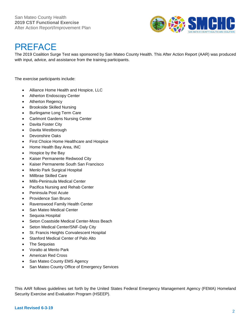

# **PREFACE**

The 2019 Coalition Surge Test was sponsored by San Mateo County Health. This After Action Report (AAR) was produced with input, advice, and assistance from the training participants.

The exercise participants include:

- Alliance Home Health and Hospice, LLC
- Atherton Endoscopy Center
- Atherton Regency
- Brookside Skilled Nursing
- Burlingame Long Term Care
- Carlmont Gardens Nursing Center
- Davita Foster City
- Davita Westborough
- Devonshire Oaks
- First Choice Home Healthcare and Hospice
- Home Health Bay Area, INC
- Hospice by the Bay
- Kaiser Permanente Redwood City
- Kaiser Permanente South San Francisco
- Menlo Park Surgical Hospital
- Millbrae Skilled Care
- Mills-Peninsula Medical Center
- Pacifica Nursing and Rehab Center
- Peninsula Post Acute
- Providence San Bruno
- Ravenswood Family Health Center
- San Mateo Medical Center
- Sequoia Hospital
- Seton Coastside Medical Center-Moss Beach
- Seton Medical Center/SNF-Daly City
- St. Francis Heights Convalescent Hospital
- Stanford Medical Center of Palo Alto
- The Sequoias
- Voralto at Menlo Park
- American Red Cross
- San Mateo County EMS Agency
- San Mateo County Office of Emergency Services

This AAR follows guidelines set forth by the United States Federal Emergency Management Agency (FEMA) Homeland Security Exercise and Evaluation Program (HSEEP).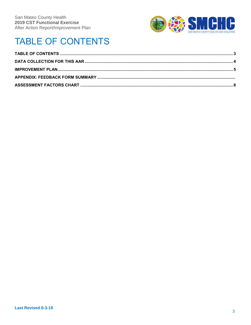

# **TABLE OF CONTENTS**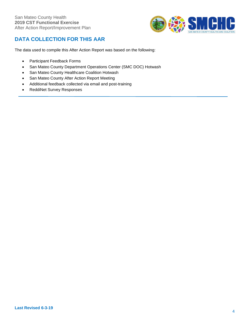

### **DATA COLLECTION FOR THIS AAR**

The data used to compile this After Action Report was based on the following:

- Participant Feedback Forms
- San Mateo County Department Operations Center (SMC DOC) Hotwash
- San Mateo County Healthcare Coalition Hotwash
- San Mateo County After Action Report Meeting
- Additional feedback collected via email and post-training
- ReddiNet Survey Responses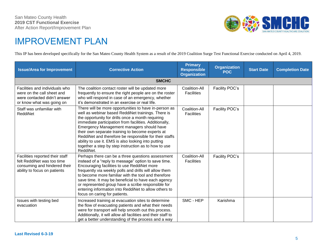

### IMPROVEMENT PLAN

This IP has been developed specifically for the San Mateo County Health System as a result of the 2019 Coalition Surge Test Functional Exercise conducted on April 4, 2019.

| <b>Issue/Area for Improvement</b>                                                                                             | <b>Corrective Action</b>                                                                                                                                                                                                                                                                                                                                                                                                                                                                                          | <b>Primary</b><br><b>Responsible</b><br><b>Organization</b> | <b>Organization</b><br><b>POC</b> | <b>Start Date</b> | <b>Completion Date</b> |  |
|-------------------------------------------------------------------------------------------------------------------------------|-------------------------------------------------------------------------------------------------------------------------------------------------------------------------------------------------------------------------------------------------------------------------------------------------------------------------------------------------------------------------------------------------------------------------------------------------------------------------------------------------------------------|-------------------------------------------------------------|-----------------------------------|-------------------|------------------------|--|
| <b>SMCHC</b>                                                                                                                  |                                                                                                                                                                                                                                                                                                                                                                                                                                                                                                                   |                                                             |                                   |                   |                        |  |
| Facilities and individuals who<br>were on the call sheet and<br>were contacted didn't answer<br>or know what was going on     | The coalition contact roster will be updated more<br>frequently to ensure the right people are on the roster<br>who will respond in case of an emergency, whether<br>it's demonstrated in an exercise or real life.                                                                                                                                                                                                                                                                                               | Coalition-All<br><b>Facilities</b>                          | Facility POC's                    |                   |                        |  |
| Staff was unfamiliar with<br>ReddiNet                                                                                         | There will be more opportunities to have in-person as<br>well as webinar based ReddiNet trainings. There is<br>the opportunity for drills once a month requiring<br>immediate participation from facilities. Additionally,<br>Emergency Management managers should have<br>their own separate training to become experts at<br>ReddiNet and therefore be responsible for their staffs<br>ability to use it. EMS is also looking into putting<br>together a step by step instruction as to how to use<br>ReddiNet. | Coalition-All<br><b>Facilities</b>                          | Facility POC's                    |                   |                        |  |
| Facilities reported their staff<br>felt ReddiNet was too time<br>consuming and hindered their<br>ability to focus on patients | Perhaps there can be a three questions assessment<br>instead of a "reply to message" option to save time.<br>Encouraging facilities to use ReddiNet more<br>frequently via weekly polls and drills will allow them<br>to become more familiar with the tool and therefore<br>save time. It may be beneficial to have each agency<br>or represented group have a scribe responsible for<br>entering information into ReddiNet to allow others to<br>focus on caring for patients.                                  | Coalition-All<br><b>Facilities</b>                          | Facility POC's                    |                   |                        |  |
| Issues with testing bed<br>evacuation                                                                                         | Increased training at evacuation sites to determine<br>the flow of evacuating patients and what their needs<br>were for transport will help smooth out this process.<br>Additionally, it will allow all facilities and their staff to<br>get a better understanding of the process and a way                                                                                                                                                                                                                      | SMC - HEP                                                   | Karishma                          |                   |                        |  |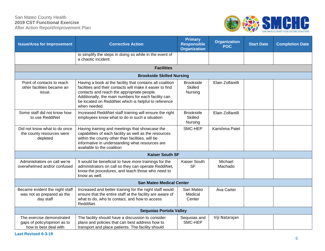#### San Mateo County Health **2019 CST Functional Exercise** After Action Report/Improvement Plan



| <b>Issue/Area for Improvement</b>                                                  | <b>Corrective Action</b>                                                                                                                                                                                                                                                                             | <b>Primary</b><br><b>Responsible</b><br><b>Organization</b> | <b>Organization</b><br><b>POC</b> | <b>Start Date</b> | <b>Completion Date</b> |  |
|------------------------------------------------------------------------------------|------------------------------------------------------------------------------------------------------------------------------------------------------------------------------------------------------------------------------------------------------------------------------------------------------|-------------------------------------------------------------|-----------------------------------|-------------------|------------------------|--|
|                                                                                    | to simplify the steps in doing so while in the event of<br>a chaotic incident.                                                                                                                                                                                                                       |                                                             |                                   |                   |                        |  |
|                                                                                    | <b>Facilities</b>                                                                                                                                                                                                                                                                                    |                                                             |                                   |                   |                        |  |
|                                                                                    | <b>Brookside Skilled Nursing</b>                                                                                                                                                                                                                                                                     |                                                             |                                   |                   |                        |  |
| Point of contacts to reach<br>other facilities became an<br>issue.                 | Having a book at the facility that contains all coalition<br>facilities and their contacts will make it easier to find<br>contacts and reach the appropriate people.<br>Additionally, the main numbers for each facility can<br>be located on ReddiNet which is helpful to reference<br>when needed. | <b>Brookside</b><br><b>Skilled</b><br>Nursing               | Elain Zolfarelli                  |                   |                        |  |
| Some staff did not know how<br>to use ReddiNet                                     | Increased ReddiNet staff training will ensure the right<br>employees know what to do in such a situation                                                                                                                                                                                             | <b>Brookside</b><br><b>Skilled</b><br>Nursing               | Elain Zolfarelli                  |                   |                        |  |
| Did not know what to do once<br>the county resources were<br>depleted              | Having training and meetings that showcase the<br>capabilities of each facility as well as the resources<br>within the county other than facilities, will be<br>informative in understanding what resources are<br>available to the coalition                                                        | SMC-HEP                                                     | Karishma Patel                    |                   |                        |  |
| <b>Kaiser South SF</b>                                                             |                                                                                                                                                                                                                                                                                                      |                                                             |                                   |                   |                        |  |
| Administrators on call we're<br>overwhelmed and/or confused                        | It would be beneficial to have more trainings for the<br>administrators on call so they can operate ReddiNet,<br>know the procedures, and teach those who need to<br>know as well.                                                                                                                   | Kaiser South<br><b>SF</b>                                   | Michael<br>Machado                |                   |                        |  |
| <b>San Mateo Medical Center</b>                                                    |                                                                                                                                                                                                                                                                                                      |                                                             |                                   |                   |                        |  |
| Became evident the night staff<br>was not as prepared as the<br>day staff          | Increased and better training for the night staff would<br>ensure that the entire staff at the facility are aware of<br>what to do, who to contact, and how to access<br>ReddiNet.                                                                                                                   | San Mateo<br>Medical<br>Center                              | Ava Carter                        |                   |                        |  |
| <b>Sequoias Portola Valley</b>                                                     |                                                                                                                                                                                                                                                                                                      |                                                             |                                   |                   |                        |  |
| The exercise demonstrated<br>gaps of policy/opinion as to<br>how to best deal with | The facility should have a discussion to consider<br>plans and policies that can best address how to<br>transport and place patients. The facility should                                                                                                                                            | Sequoias and<br>SMC-HEP                                     | Viji Natarajan                    |                   |                        |  |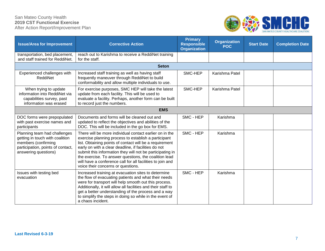#### San Mateo County Health **2019 CST Functional Exercise** After Action Report/Improvement Plan



| <b>Issue/Area for Improvement</b>                                                                                                                   | <b>Corrective Action</b>                                                                                                                                                                                                                                                                                                                                                                                                                                     | <b>Primary</b><br><b>Responsible</b><br><b>Organization</b> | <b>Organization</b><br><b>POC</b> | <b>Start Date</b> | <b>Completion Date</b> |  |
|-----------------------------------------------------------------------------------------------------------------------------------------------------|--------------------------------------------------------------------------------------------------------------------------------------------------------------------------------------------------------------------------------------------------------------------------------------------------------------------------------------------------------------------------------------------------------------------------------------------------------------|-------------------------------------------------------------|-----------------------------------|-------------------|------------------------|--|
| transportation, bed placement,<br>and staff trained for ReddiNet.                                                                                   | reach out to Karishma to receive a ReddiNet training<br>for the staff.                                                                                                                                                                                                                                                                                                                                                                                       |                                                             |                                   |                   |                        |  |
| <b>Seton</b>                                                                                                                                        |                                                                                                                                                                                                                                                                                                                                                                                                                                                              |                                                             |                                   |                   |                        |  |
| Experienced challenges with<br>ReddiNet                                                                                                             | Increased staff training as well as having staff<br>frequently maneuver through ReddiNet to build<br>conformability and allow multiple individuals to use.                                                                                                                                                                                                                                                                                                   | SMC-HEP                                                     | Karishma Patel                    |                   |                        |  |
| When trying to update<br>information into ReddiNet via<br>capabilities survey, past<br>information was erased                                       | For exercise purposes, SMC HEP will take the latest<br>update from each facility. This will be used to<br>evaluate a facility. Perhaps, another form can be built<br>to record just the numbers.                                                                                                                                                                                                                                                             | SMC-HEP                                                     | Karishma Patel                    |                   |                        |  |
| <b>EMS</b>                                                                                                                                          |                                                                                                                                                                                                                                                                                                                                                                                                                                                              |                                                             |                                   |                   |                        |  |
| DOC forms were prepopulated<br>with past exercise names and<br>participants                                                                         | Documents and forms will be cleaned out and<br>updated to reflect the objectives and abilities of the<br>DOC. This will be included in the go box for EMS.                                                                                                                                                                                                                                                                                                   | SMC - HEP                                                   | Karishma                          |                   |                        |  |
| Planning team had challenges<br>getting in touch with coalition<br>members (confirming<br>participation, points of contact,<br>answering questions) | There will be more individual contact earlier on in the<br>exercise planning process to establish a participant<br>list. Obtaining points of contact will be a requirement<br>early on with a clear deadline, if facilities do not<br>submit this information they will not be participating in<br>the exercise. To answer questions, the coalition lead<br>will have a conference call for all facilities to join and<br>voice their concerns or questions. | SMC - HEP                                                   | Karishma                          |                   |                        |  |
| Issues with testing bed<br>evacuation                                                                                                               | Increased training at evacuation sites to determine<br>the flow of evacuating patients and what their needs<br>were for transport will help smooth out this process.<br>Additionally, it will allow all facilities and their staff to<br>get a better understanding of the process and a way<br>to simplify the steps in doing so while in the event of<br>a chaos incident.                                                                                 | SMC - HEP                                                   | Karishma                          |                   |                        |  |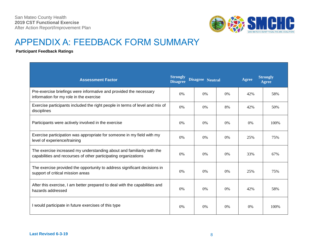

### APPENDIX A: FEEDBACK FORM SUMMARY

#### **Participant Feedback Ratings**

| <b>Assessment Factor</b>                                                                                                                  | <b>Strongly</b><br><b>Disagree</b> | <b>Disagree Neutral</b> |    | <b>Agree</b> | <b>Strongly</b><br><b>Agree</b> |
|-------------------------------------------------------------------------------------------------------------------------------------------|------------------------------------|-------------------------|----|--------------|---------------------------------|
| Pre-exercise briefings were informative and provided the necessary<br>information for my role in the exercise                             | $0\%$                              | $0\%$                   | 0% | 42%          | 58%                             |
| Exercise participants included the right people in terms of level and mix of<br>disciplines                                               | $0\%$                              | $0\%$                   | 8% | 42%          | 50%                             |
| Participants were actively involved in the exercise                                                                                       | 0%                                 | $0\%$                   | 0% | 0%           | 100%                            |
| Exercise participation was appropriate for someone in my field with my<br>level of experience/training                                    | $0\%$                              | $0\%$                   | 0% | 25%          | 75%                             |
| The exercise increased my understanding about and familiarity with the<br>capabilities and recourses of other participating organizations | $0\%$                              | 0%                      | 0% | 33%          | 67%                             |
| The exercise provided the opportunity to address significant decisions in<br>support of critical mission areas                            | $0\%$                              | $0\%$                   | 0% | 25%          | 75%                             |
| After this exercise, I am better prepared to deal with the capabilities and<br>hazards addressed                                          | $0\%$                              | 0%                      | 0% | 42%          | 58%                             |
| I would participate in future exercises of this type                                                                                      | $0\%$                              | 0%                      | 0% | 0%           | 100\%                           |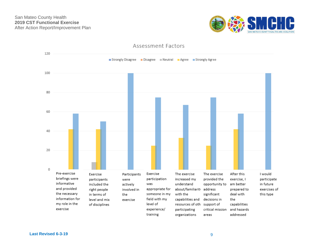



#### Assessment Factors